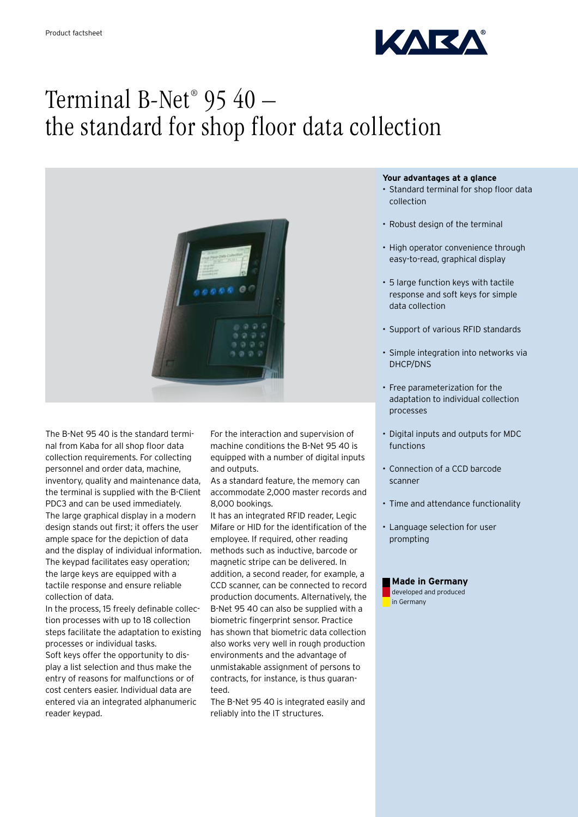

# Terminal B-Net® 95 40 – the standard for shop floor data collection



The B-Net 95 40 is the standard terminal from Kaba for all shop floor data collection requirements. For collecting personnel and order data, machine, inventory, quality and maintenance data, the terminal is supplied with the B-Client PDC3 and can be used immediately. The large graphical display in a modern design stands out first; it offers the user ample space for the depiction of data and the display of individual information. The keypad facilitates easy operation; the large keys are equipped with a tactile response and ensure reliable collection of data.

In the process, 15 freely definable collection processes with up to 18 collection steps facilitate the adaptation to existing processes or individual tasks. Soft keys offer the opportunity to display a list selection and thus make the entry of reasons for malfunctions or of cost centers easier. Individual data are entered via an integrated alphanumeric reader keypad.

For the interaction and supervision of machine conditions the B-Net 95 40 is equipped with a number of digital inputs and outputs.

As a standard feature, the memory can accommodate 2,000 master records and 8,000 bookings.

It has an integrated RFID reader, Legic Mifare or HID for the identification of the employee. If required, other reading methods such as inductive, barcode or magnetic stripe can be delivered. In addition, a second reader, for example, a CCD scanner, can be connected to record production documents. Alternatively, the B-Net 95 40 can also be supplied with a biometric fingerprint sensor. Practice has shown that biometric data collection also works very well in rough production environments and the advantage of unmistakable assignment of persons to contracts, for instance, is thus guaranteed.

The B-Net 95 40 is integrated easily and reliably into the IT structures.

## **Your advantages at a glance**

- Standard terminal for shop floor data collection
- Robust design of the terminal
- High operator convenience through easy-to-read, graphical display
- 5 large function keys with tactile response and soft keys for simple data collection
- • Support of various RFID standards
- • Simple integration into networks via DHCP/DNS
- Free parameterization for the adaptation to individual collection processes
- • Digital inputs and outputs for MDC functions
- Connection of a CCD barcode scanner
- Time and attendance functionality
- Language selection for user prompting

### **Made in Germany** developed and produced in Germany